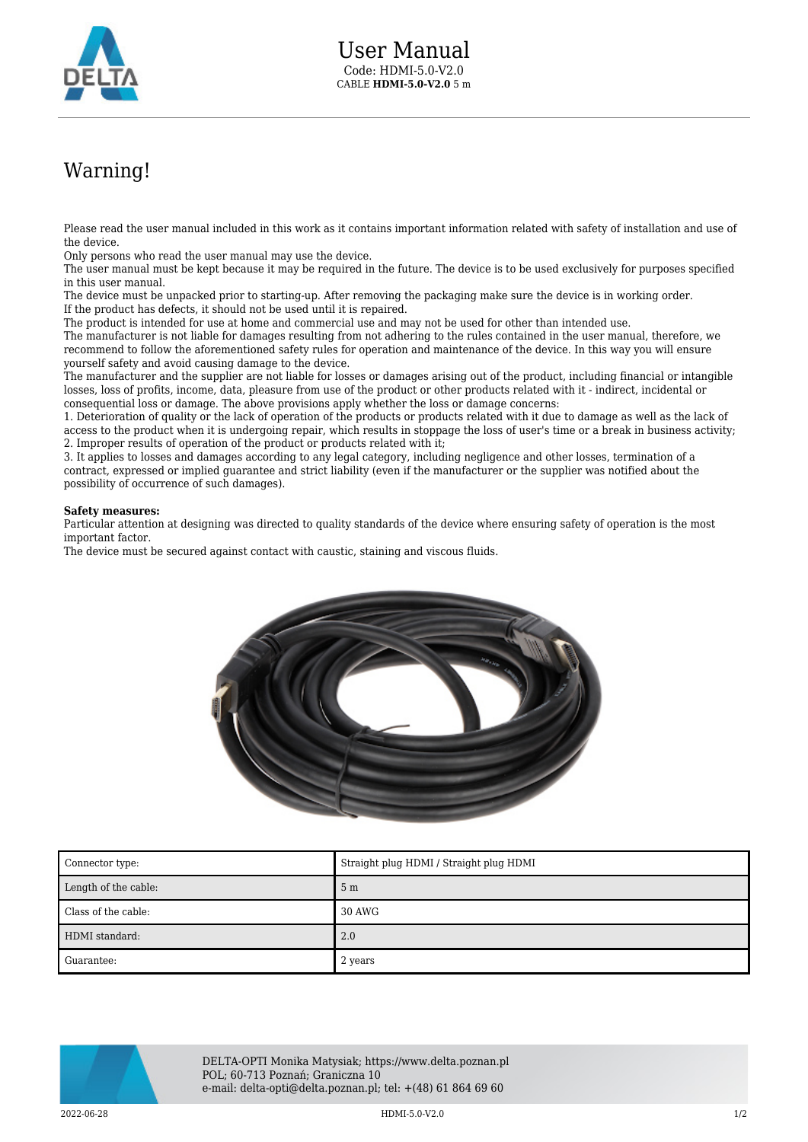

## Warning!

Please read the user manual included in this work as it contains important information related with safety of installation and use of the device.

Only persons who read the user manual may use the device.

The user manual must be kept because it may be required in the future. The device is to be used exclusively for purposes specified in this user manual.

The device must be unpacked prior to starting-up. After removing the packaging make sure the device is in working order. If the product has defects, it should not be used until it is repaired.

The product is intended for use at home and commercial use and may not be used for other than intended use.

The manufacturer is not liable for damages resulting from not adhering to the rules contained in the user manual, therefore, we recommend to follow the aforementioned safety rules for operation and maintenance of the device. In this way you will ensure yourself safety and avoid causing damage to the device.

The manufacturer and the supplier are not liable for losses or damages arising out of the product, including financial or intangible losses, loss of profits, income, data, pleasure from use of the product or other products related with it - indirect, incidental or consequential loss or damage. The above provisions apply whether the loss or damage concerns:

1. Deterioration of quality or the lack of operation of the products or products related with it due to damage as well as the lack of access to the product when it is undergoing repair, which results in stoppage the loss of user's time or a break in business activity; 2. Improper results of operation of the product or products related with it;

3. It applies to losses and damages according to any legal category, including negligence and other losses, termination of a contract, expressed or implied guarantee and strict liability (even if the manufacturer or the supplier was notified about the possibility of occurrence of such damages).

## **Safety measures:**

Particular attention at designing was directed to quality standards of the device where ensuring safety of operation is the most important factor.

The device must be secured against contact with caustic, staining and viscous fluids.



| Connector type:      | Straight plug HDMI / Straight plug HDMI |
|----------------------|-----------------------------------------|
| Length of the cable: | 5 <sub>m</sub>                          |
| Class of the cable:  | 30 AWG                                  |
| HDMI standard:       | 2.0                                     |
| ∎ Guarantee:         | 2 years                                 |



DELTA-OPTI Monika Matysiak; https://www.delta.poznan.pl POL; 60-713 Poznań; Graniczna 10 e-mail: delta-opti@delta.poznan.pl; tel: +(48) 61 864 69 60